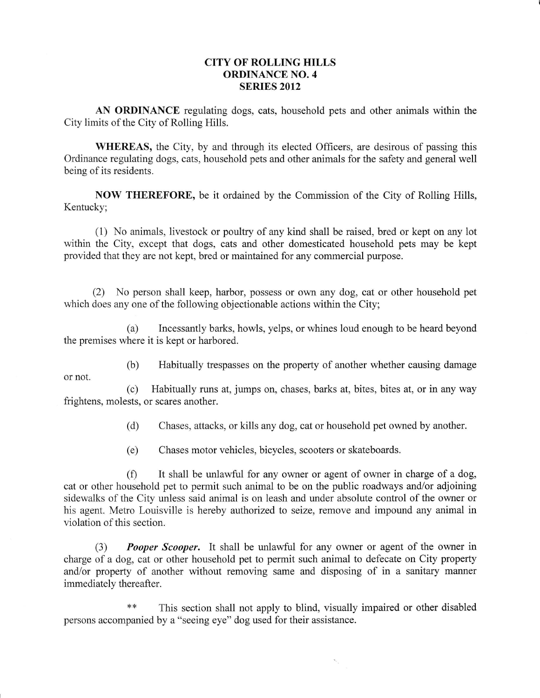## CITY OF ROLLING HILLS ORDINANCE NO. 4 SERIES 2012

AN ORDINANCE regulating dogs, cats, household pets and other animals within the City limits of the City of Rolling Hills.

WHEREAS, the City, by and through its elected Officers, are desirous of passing this Ordinance regulating dogs, cats, household pets and other animals for the safety and general well being of its residents.

NOW THEREFORE, be it ordained by the Commission of the City of Rolling Hills, Kentucky;

(1) No animals, livestock or poultry of any kind shall be raised, bred or kept on any lot within the City, except that dogs, cats and other domesticated household pets may be kept provided that they are not kept, bred or maintained for any commercial purpose.

(2) No person shall keep, harbor, possess or own any dog, cat or other household pet which does any one of the following objectionable actions within the City;

(a) Incessantly barks, howls, yelps, or whines loud enough to be heard beyond the premises where it is kept or harbored.

(b) Habitually trespasses on the property of another whether causing damage

or not.

(c) Habitually runs at, jumps on, chases, barks at, bites, bites at, or in any way frightens, molests, or scares another.

(d) Chases, attacks, or kills any dog, cat or household pet owned by another.

(e) Chases motor vehicles, bicycles, scooters or skateboards.

 $(f)$  It shall be unlawful for any owner or agent of owner in charge of a dog, cat or other household pet to permit such animal to be on the public roadways and/or adjoining sidewalks of the City unless said animal is on leash and under absolute control of the owner or his agent. Metro Louisville is hereby authorized to seize, remove and impound any animal in violation of this section.

(3) **Pooper Scooper.** It shall be unlawful for any owner or agent of the owner in charge of a dog, cat or other household pet to permit such animal to defecate on City property and/or property of another without removing same and disposing of in a sanitary manner immediately thereafter.

\*\* This section shall not apply to blind, visually impaired or other disabled persons accompanied by a "seeing eye" dog used for their assistance.